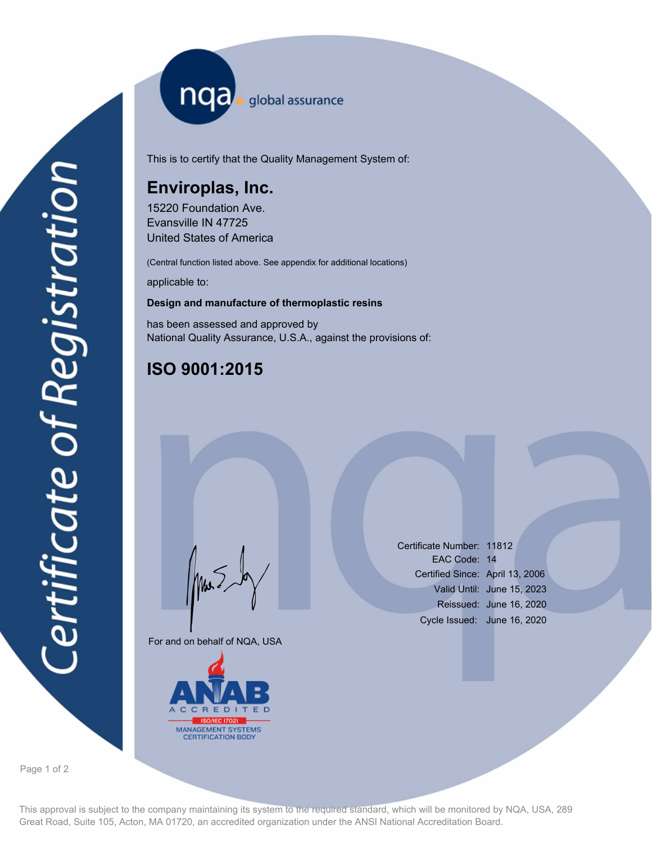nqa <sub>global assurance</sub>

This is to certify that the Quality Management System of:

## **Enviroplas, Inc.**

15220 Foundation Ave. Evansville IN 47725 United States of America

(Central function listed above. See appendix for additional locations)

applicable to:

## **Design and manufacture of thermoplastic resins**

has been assessed and approved by National Quality Assurance, U.S.A., against the provisions of:

## **ISO 9001:2015**

For and on behalf of NQA, USA

Mus



Certificate Number: 11812 EAC Code: 14 Certified Since: April 13, 2006 Valid Until: June 15, 2023 Reissued: June 16, 2020 Cycle Issued: June 16, 2020

Page 1 of 2

This approval is subject to the company maintaining its system to the required standard, which will be monitored by NQA, USA, 289 Great Road, Suite 105, Acton, MA 01720, an accredited organization under the ANSI National Accreditation Board.